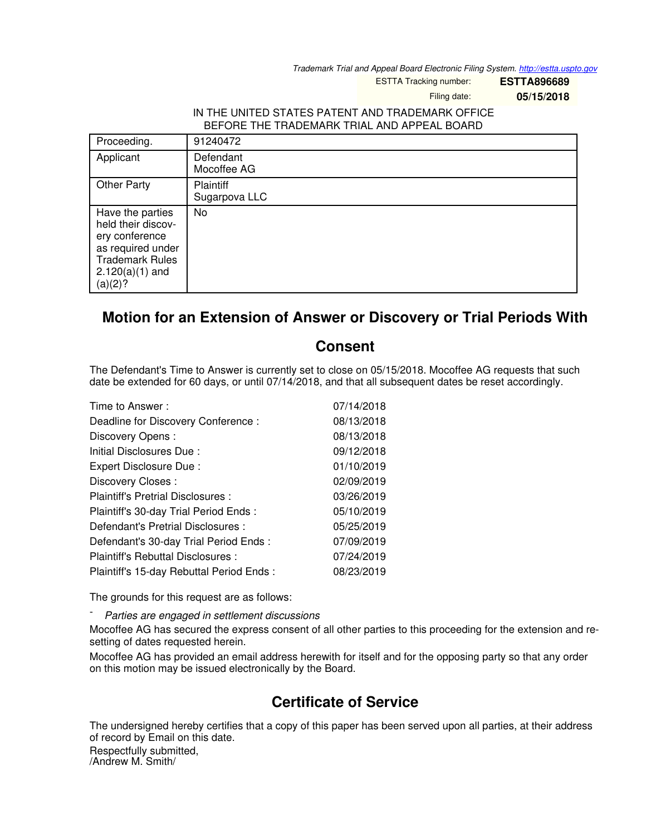*Trademark Trial and Appeal Board Electronic Filing System. <http://estta.uspto.gov>*

ESTTA Tracking number: **ESTTA896689**

Filing date: **05/15/2018**

## IN THE UNITED STATES PATENT AND TRADEMARK OFFICE BEFORE THE TRADEMARK TRIAL AND APPEAL BOARD

| Proceeding.                                                                                                                             | 91240472                          |
|-----------------------------------------------------------------------------------------------------------------------------------------|-----------------------------------|
| Applicant                                                                                                                               | Defendant<br>Mocoffee AG          |
| <b>Other Party</b>                                                                                                                      | <b>Plaintiff</b><br>Sugarpova LLC |
| Have the parties<br>held their discov-<br>ery conference<br>as required under<br><b>Trademark Rules</b><br>$2.120(a)(1)$ and<br>(a)(2)? | No                                |

## **Motion for an Extension of Answer or Discovery or Trial Periods With**

## **Consent**

The Defendant's Time to Answer is currently set to close on 05/15/2018. Mocoffee AG requests that such date be extended for 60 days, or until 07/14/2018, and that all subsequent dates be reset accordingly.

| Time to Answer:                          | 07/14/2018 |
|------------------------------------------|------------|
| Deadline for Discovery Conference :      | 08/13/2018 |
| Discovery Opens:                         | 08/13/2018 |
| Initial Disclosures Due:                 | 09/12/2018 |
| Expert Disclosure Due:                   | 01/10/2019 |
| Discovery Closes:                        | 02/09/2019 |
| Plaintiff's Pretrial Disclosures :       | 03/26/2019 |
| Plaintiff's 30-day Trial Period Ends:    | 05/10/2019 |
| Defendant's Pretrial Disclosures :       | 05/25/2019 |
| Defendant's 30-day Trial Period Ends:    | 07/09/2019 |
| Plaintiff's Rebuttal Disclosures:        | 07/24/2019 |
| Plaintiff's 15-day Rebuttal Period Ends: | 08/23/2019 |

The grounds for this request are as follows:

- *Parties are engaged in settlement discussions*

Mocoffee AG has secured the express consent of all other parties to this proceeding for the extension and resetting of dates requested herein.

Mocoffee AG has provided an email address herewith for itself and for the opposing party so that any order on this motion may be issued electronically by the Board.

## **Certificate of Service**

The undersigned hereby certifies that a copy of this paper has been served upon all parties, at their address of record by Email on this date.

Respectfully submitted, /Andrew M. Smith/